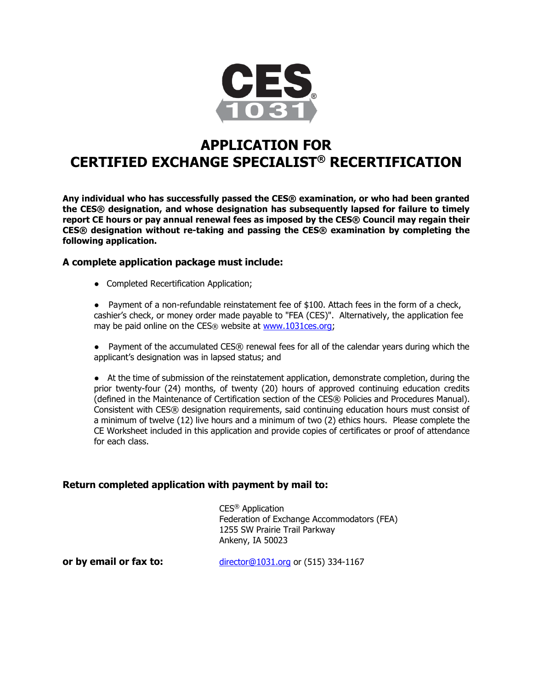

## **APPLICATION FOR CERTIFIED EXCHANGE SPECIALIST® RECERTIFICATION**

**Any individual who has successfully passed the CES® examination, or who had been granted the CES® designation, and whose designation has subsequently lapsed for failure to timely report CE hours or pay annual renewal fees as imposed by the CES® Council may regain their CES® designation without re-taking and passing the CES® examination by completing the following application.**

#### **A complete application package must include:**

● Completed Recertification Application;

● Payment of a non-refundable reinstatement fee of \$100. Attach fees in the form of a check, cashier's check, or money order made payable to "FEA (CES)". Alternatively, the application fee may be paid online on the CES® website at [www.1031ces.org;](http://www.1031ces.org/)

● Payment of the accumulated CES® renewal fees for all of the calendar years during which the applicant's designation was in lapsed status; and

● At the time of submission of the reinstatement application, demonstrate completion, during the prior twenty-four (24) months, of twenty (20) hours of approved continuing education credits (defined in the Maintenance of Certification section of the CES® Policies and Procedures Manual). Consistent with CES® designation requirements, said continuing education hours must consist of a minimum of twelve (12) live hours and a minimum of two (2) ethics hours. Please complete the CE Worksheet included in this application and provide copies of certificates or proof of attendance for each class.

#### **Return completed application with payment by mail to:**

CES® Application Federation of Exchange Accommodators (FEA) 1255 SW Prairie Trail Parkway Ankeny, IA 50023

**or by email or fax to:** [director@1031.org](mailto:director@1031.org) or (515) 334-1167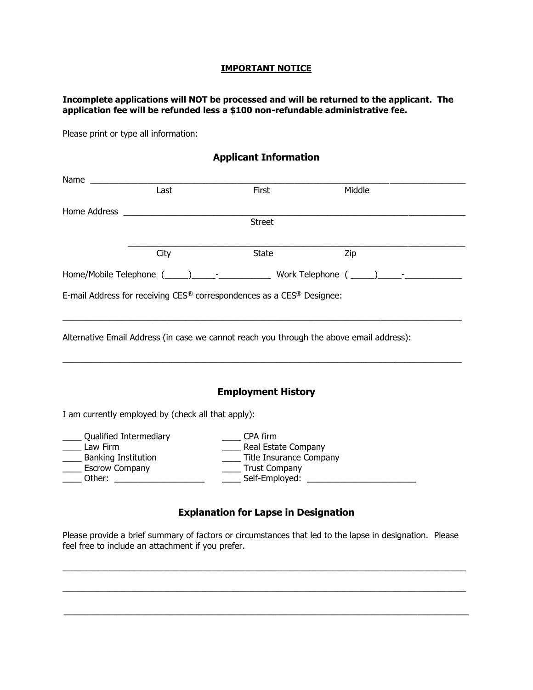#### **IMPORTANT NOTICE**

#### **Incomplete applications will NOT be processed and will be returned to the applicant. The application fee will be refunded less a \$100 non-refundable administrative fee.**

Please print or type all information:

# **Applicant Information** Name \_\_\_\_\_\_\_\_\_\_\_\_\_\_\_\_\_\_\_\_\_\_\_\_\_\_\_\_\_\_\_\_\_\_\_\_\_\_\_\_\_\_\_\_\_\_\_\_\_\_\_\_\_\_\_\_\_\_\_\_\_\_\_\_\_\_\_\_\_\_\_\_\_\_\_\_\_\_\_ First Middle Home Address \_\_\_\_\_\_\_\_\_\_\_\_\_\_\_\_\_\_\_\_\_\_\_\_\_\_\_\_\_\_\_\_\_\_\_\_\_\_\_\_\_\_\_\_\_\_\_\_\_\_\_\_\_\_\_\_\_\_\_\_\_\_\_\_\_\_\_\_\_\_\_\_ **Street**  $\_$  , and the set of the set of the set of the set of the set of the set of the set of the set of the set of the set of the set of the set of the set of the set of the set of the set of the set of the set of the set of th City State Zip Home/Mobile Telephone (\_\_\_\_\_)\_\_\_\_\_-\_\_\_\_\_\_\_\_\_\_\_ Work Telephone ( \_\_\_\_\_)\_\_\_\_\_-\_\_\_\_\_\_\_\_\_\_\_\_ E-mail Address for receiving CES® correspondences as a CES® Designee:  $\_$  ,  $\_$  ,  $\_$  ,  $\_$  ,  $\_$  ,  $\_$  ,  $\_$  ,  $\_$  ,  $\_$  ,  $\_$  ,  $\_$  ,  $\_$  ,  $\_$  ,  $\_$  ,  $\_$  ,  $\_$  ,  $\_$  ,  $\_$  ,  $\_$  ,  $\_$  ,  $\_$  ,  $\_$  ,  $\_$  ,  $\_$  ,  $\_$  ,  $\_$  ,  $\_$  ,  $\_$  ,  $\_$  ,  $\_$  ,  $\_$  ,  $\_$  ,  $\_$  ,  $\_$  ,  $\_$  ,  $\_$  ,  $\_$  , Alternative Email Address (in case we cannot reach you through the above email address):  $\_$  ,  $\_$  ,  $\_$  ,  $\_$  ,  $\_$  ,  $\_$  ,  $\_$  ,  $\_$  ,  $\_$  ,  $\_$  ,  $\_$  ,  $\_$  ,  $\_$  ,  $\_$  ,  $\_$  ,  $\_$  ,  $\_$  ,  $\_$  ,  $\_$  ,  $\_$  ,  $\_$  ,  $\_$  ,  $\_$  ,  $\_$  ,  $\_$  ,  $\_$  ,  $\_$  ,  $\_$  ,  $\_$  ,  $\_$  ,  $\_$  ,  $\_$  ,  $\_$  ,  $\_$  ,  $\_$  ,  $\_$  ,  $\_$  , **Employment History** I am currently employed by (check all that apply): \_\_\_\_ Qualified Intermediary \_\_\_\_ CPA firm \_\_\_\_ Law Firm \_\_\_\_ Real Estate Company \_\_\_\_ Banking Institution \_\_\_\_ Title Insurance Company

\_\_\_\_\_ Escrow Company<br>\_\_\_\_\_ Other: \_\_\_\_\_\_\_\_\_\_\_\_\_ \_\_\_\_ Other: \_\_\_\_\_\_\_\_\_\_\_\_\_\_\_\_\_\_\_ \_\_\_\_ Self-Employed: \_\_\_\_\_\_\_\_\_\_\_\_\_\_\_\_\_\_\_\_\_\_\_

#### **Explanation for Lapse in Designation**

Please provide a brief summary of factors or circumstances that led to the lapse in designation. Please feel free to include an attachment if you prefer.

 $\_$  , and the state of the state of the state of the state of the state of the state of the state of the state of the state of the state of the state of the state of the state of the state of the state of the state of the

 $\_$  , and the set of the set of the set of the set of the set of the set of the set of the set of the set of the set of the set of the set of the set of the set of the set of the set of the set of the set of the set of th

\_\_\_\_\_\_\_\_\_\_\_\_\_\_\_\_\_\_\_\_\_\_\_\_\_\_\_\_\_\_\_\_\_\_\_\_\_\_\_\_\_\_\_\_\_\_\_\_\_\_\_\_\_\_\_\_\_\_\_\_\_\_\_\_\_\_\_\_\_\_\_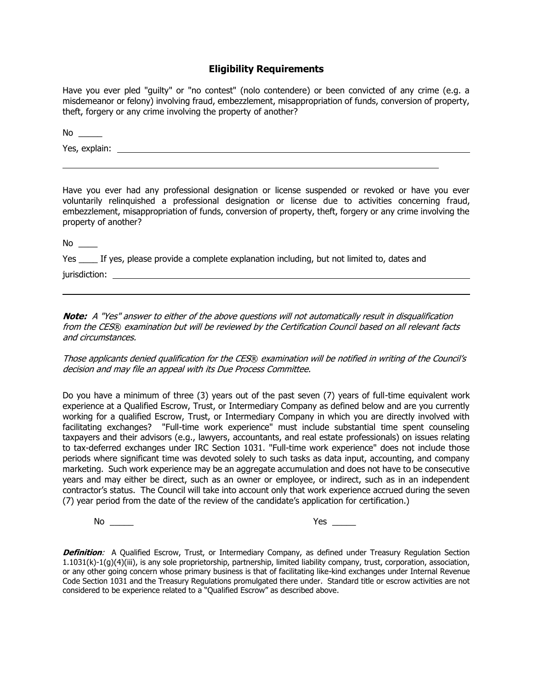#### **Eligibility Requirements**

Have you ever pled "guilty" or "no contest" (nolo contendere) or been convicted of any crime (e.g. a misdemeanor or felony) involving fraud, embezzlement, misappropriation of funds, conversion of property, theft, forgery or any crime involving the property of another?

No  $\_\_$ 

Yes, explain:

Have you ever had any professional designation or license suspended or revoked or have you ever voluntarily relinquished a professional designation or license due to activities concerning fraud, embezzlement, misappropriation of funds, conversion of property, theft, forgery or any crime involving the property of another?

 $No \_\_$ 

Yes \_\_\_\_ If yes, please provide a complete explanation including, but not limited to, dates and jurisdiction:

**Note:** A "Yes" answer to either of the above questions will not automatically result in disqualification from the CES® examination but will be reviewed by the Certification Council based on all relevant facts and circumstances.

Those applicants denied qualification for the CES® examination will be notified in writing of the Council's decision and may file an appeal with its Due Process Committee.

Do you have a minimum of three (3) years out of the past seven (7) years of full-time equivalent work experience at a Qualified Escrow, Trust, or Intermediary Company as defined below and are you currently working for a qualified Escrow, Trust, or Intermediary Company in which you are directly involved with facilitating exchanges? "Full-time work experience" must include substantial time spent counseling taxpayers and their advisors (e.g., lawyers, accountants, and real estate professionals) on issues relating to tax-deferred exchanges under IRC Section 1031. "Full-time work experience" does not include those periods where significant time was devoted solely to such tasks as data input, accounting, and company marketing. Such work experience may be an aggregate accumulation and does not have to be consecutive years and may either be direct, such as an owner or employee, or indirect, such as in an independent contractor's status. The Council will take into account only that work experience accrued during the seven (7) year period from the date of the review of the candidate's application for certification.)

No \_\_\_\_\_\_\_ Yes \_\_\_\_\_\_

**Definition**: A Qualified Escrow, Trust, or Intermediary Company, as defined under Treasury Regulation Section 1.1031(k)-1(g)(4)(iii), is any sole proprietorship, partnership, limited liability company, trust, corporation, association, or any other going concern whose primary business is that of facilitating like-kind exchanges under Internal Revenue Code Section 1031 and the Treasury Regulations promulgated there under. Standard title or escrow activities are not considered to be experience related to a "Qualified Escrow" as described above.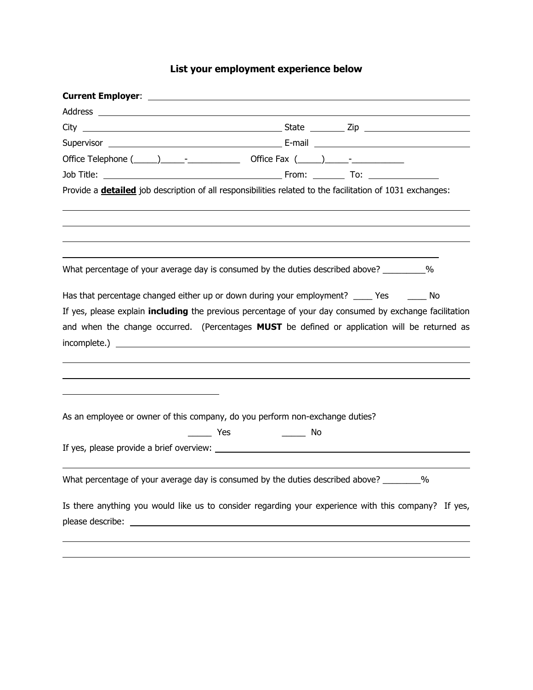### **List your employment experience below**

| Provide a <b>detailed</b> job description of all responsibilities related to the facilitation of 1031 exchanges: |                                |  |   |
|------------------------------------------------------------------------------------------------------------------|--------------------------------|--|---|
|                                                                                                                  |                                |  |   |
|                                                                                                                  |                                |  |   |
| What percentage of your average day is consumed by the duties described above? _________%                        |                                |  |   |
| Has that percentage changed either up or down during your employment? ____ Yes _____ No                          |                                |  |   |
| If yes, please explain <i>including</i> the previous percentage of your day consumed by exchange facilitation    |                                |  |   |
| and when the change occurred. (Percentages MUST be defined or application will be returned as                    |                                |  |   |
|                                                                                                                  |                                |  |   |
|                                                                                                                  |                                |  |   |
|                                                                                                                  |                                |  |   |
|                                                                                                                  |                                |  |   |
|                                                                                                                  |                                |  |   |
| As an employee or owner of this company, do you perform non-exchange duties?                                     |                                |  |   |
|                                                                                                                  | _________ Yes _____________ No |  |   |
|                                                                                                                  |                                |  |   |
|                                                                                                                  |                                |  |   |
| What percentage of your average day is consumed by the duties described above?                                   |                                |  | % |
| Is there anything you would like us to consider regarding your experience with this company? If yes,             |                                |  |   |
|                                                                                                                  |                                |  |   |
|                                                                                                                  |                                |  |   |
|                                                                                                                  |                                |  |   |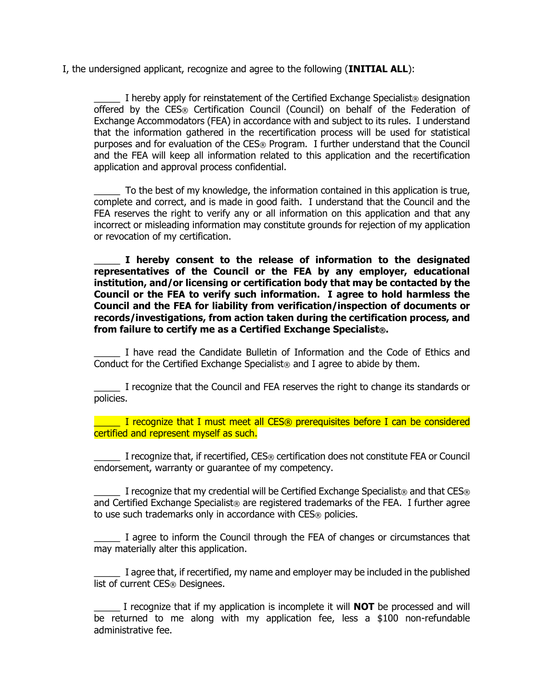I, the undersigned applicant, recognize and agree to the following (**INITIAL ALL**):

I hereby apply for reinstatement of the Certified Exchange Specialist<sup>®</sup> designation offered by the CES® Certification Council (Council) on behalf of the Federation of Exchange Accommodators (FEA) in accordance with and subject to its rules. I understand that the information gathered in the recertification process will be used for statistical purposes and for evaluation of the CES® Program. I further understand that the Council and the FEA will keep all information related to this application and the recertification application and approval process confidential.

To the best of my knowledge, the information contained in this application is true, complete and correct, and is made in good faith. I understand that the Council and the FEA reserves the right to verify any or all information on this application and that any incorrect or misleading information may constitute grounds for rejection of my application or revocation of my certification.

\_\_\_\_\_ **I hereby consent to the release of information to the designated representatives of the Council or the FEA by any employer, educational institution, and/or licensing or certification body that may be contacted by the Council or the FEA to verify such information. I agree to hold harmless the Council and the FEA for liability from verification/inspection of documents or records/investigations, from action taken during the certification process, and from failure to certify me as a Certified Exchange Specialist®.**

\_\_\_\_\_ I have read the Candidate Bulletin of Information and the Code of Ethics and Conduct for the Certified Exchange Specialist® and I agree to abide by them.

\_\_\_\_\_ I recognize that the Council and FEA reserves the right to change its standards or policies.

**The I recognize that I must meet all CES**® prerequisites before I can be considered certified and represent myself as such.

I recognize that, if recertified, CES® certification does not constitute FEA or Council endorsement, warranty or guarantee of my competency.

I recognize that my credential will be Certified Exchange Specialist<sup>®</sup> and that  $CES@$ and Certified Exchange Specialist® are registered trademarks of the FEA. I further agree to use such trademarks only in accordance with CES® policies.

I agree to inform the Council through the FEA of changes or circumstances that may materially alter this application.

\_\_\_\_\_ I agree that, if recertified, my name and employer may be included in the published list of current CES® Designees.

\_\_\_\_\_ I recognize that if my application is incomplete it will **NOT** be processed and will be returned to me along with my application fee, less a \$100 non-refundable administrative fee.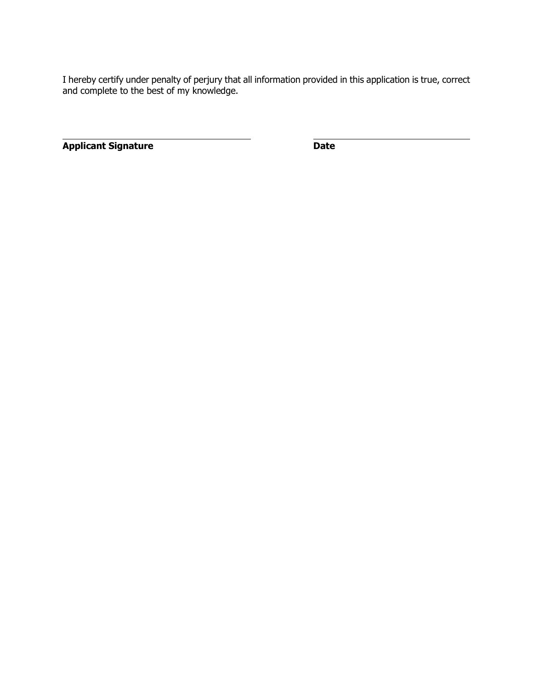I hereby certify under penalty of perjury that all information provided in this application is true, correct and complete to the best of my knowledge.

**Applicant Signature Date**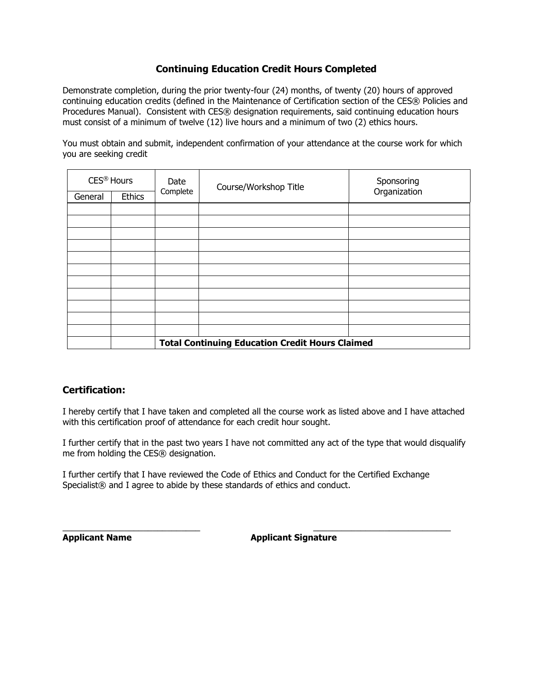#### **Continuing Education Credit Hours Completed**

Demonstrate completion, during the prior twenty-four (24) months, of twenty (20) hours of approved continuing education credits (defined in the Maintenance of Certification section of the CES® Policies and Procedures Manual). Consistent with CES® designation requirements, said continuing education hours must consist of a minimum of twelve (12) live hours and a minimum of two (2) ethics hours.

You must obtain and submit, independent confirmation of your attendance at the course work for which you are seeking credit

| CES <sup>®</sup> Hours                                 |               | Date     | Course/Workshop Title | Sponsoring   |  |
|--------------------------------------------------------|---------------|----------|-----------------------|--------------|--|
| General                                                | <b>Ethics</b> | Complete |                       | Organization |  |
|                                                        |               |          |                       |              |  |
|                                                        |               |          |                       |              |  |
|                                                        |               |          |                       |              |  |
|                                                        |               |          |                       |              |  |
|                                                        |               |          |                       |              |  |
|                                                        |               |          |                       |              |  |
|                                                        |               |          |                       |              |  |
|                                                        |               |          |                       |              |  |
|                                                        |               |          |                       |              |  |
|                                                        |               |          |                       |              |  |
|                                                        |               |          |                       |              |  |
| <b>Total Continuing Education Credit Hours Claimed</b> |               |          |                       |              |  |

#### **Certification:**

I hereby certify that I have taken and completed all the course work as listed above and I have attached with this certification proof of attendance for each credit hour sought.

I further certify that in the past two years I have not committed any act of the type that would disqualify me from holding the CES® designation.

I further certify that I have reviewed the Code of Ethics and Conduct for the Certified Exchange Specialist<sup>®</sup> and I agree to abide by these standards of ethics and conduct.

\_\_\_\_\_\_\_\_\_\_\_\_\_\_\_\_\_\_\_\_\_\_\_\_\_\_\_\_\_ \_\_\_\_\_\_\_\_\_\_\_\_\_\_\_\_\_\_\_\_\_\_\_\_\_\_\_\_\_ **Applicant Name Applicant Signature**